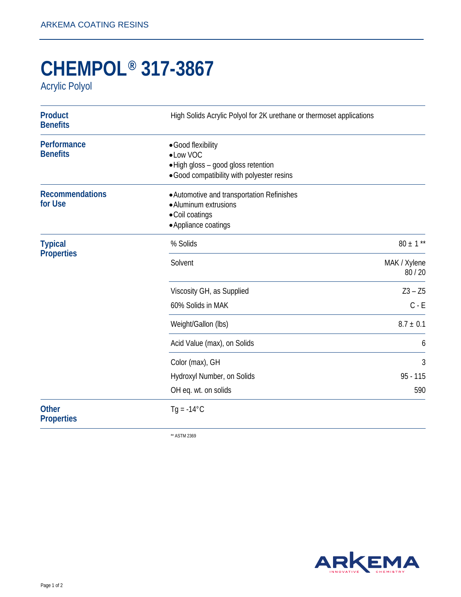## **CHEMPOL® 317-3867**

Acrylic Polyol

| <b>Product</b><br><b>Benefits</b>   | High Solids Acrylic Polyol for 2K urethane or thermoset applications                                                 |                       |
|-------------------------------------|----------------------------------------------------------------------------------------------------------------------|-----------------------|
| Performance<br><b>Benefits</b>      | • Good flexibility<br>• Low VOC<br>. High gloss - good gloss retention<br>• Good compatibility with polyester resins |                       |
| <b>Recommendations</b><br>for Use   | • Automotive and transportation Refinishes<br>• Aluminum extrusions<br>• Coil coatings<br>• Appliance coatings       |                       |
| <b>Typical</b><br><b>Properties</b> | % Solids                                                                                                             | $80 \pm 1$ **         |
|                                     | Solvent                                                                                                              | MAK / Xylene<br>80/20 |
|                                     | Viscosity GH, as Supplied                                                                                            | $Z3 - Z5$             |
|                                     | 60% Solids in MAK                                                                                                    | $C - E$               |
|                                     | Weight/Gallon (lbs)                                                                                                  | $8.7 \pm 0.1$         |
|                                     | Acid Value (max), on Solids                                                                                          | 6                     |
|                                     | Color (max), GH                                                                                                      | 3                     |
|                                     | Hydroxyl Number, on Solids                                                                                           | $95 - 115$            |
|                                     | OH eq. wt. on solids                                                                                                 | 590                   |
| <b>Other</b><br><b>Properties</b>   | $Tg = -14^{\circ}C$                                                                                                  |                       |

\*\* ASTM 2369